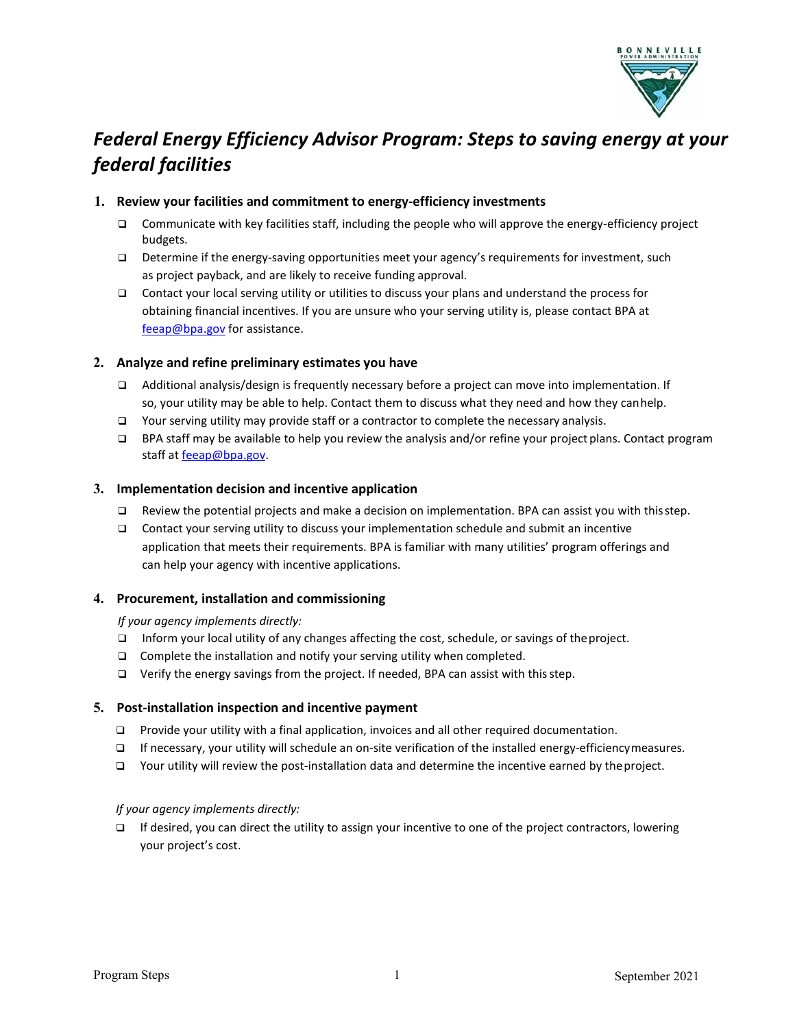

# *Federal Energy Efficiency Advisor Program: Steps to saving energy at your federal facilities*

### **1. Review your facilities and commitment to energy-efficiency investments**

- $\Box$  Communicate with key facilities staff, including the people who will approve the energy-efficiency project budgets.
- Determine if the energy-saving opportunities meet your agency's requirements for investment, such as project payback, and are likely to receive funding approval.
- $\Box$  Contact your local serving utility or utilities to discuss your plans and understand the process for obtaining financial incentives. If you are unsure who your serving utility is, please contact BPA at [feeap@bpa.gov](mailto:feeap@bpa.gov) for assistance.

### **2. Analyze and refine preliminary estimates you have**

- Additional analysis/design is frequently necessary before a project can move into implementation. If so, your utility may be able to help. Contact them to discuss what they need and how they canhelp.
- $\Box$  Your serving utility may provide staff or a contractor to complete the necessary analysis.
- BPA staff may be available to help you review the analysis and/or refine your project plans. Contact program staff at feeap@bpa.gov.

#### **3. Implementation decision and incentive application**

- $\Box$  Review the potential projects and make a decision on implementation. BPA can assist you with this step.
- Contact your serving utility to discuss your implementation schedule and submit an incentive application that meets their requirements. BPA is familiar with many utilities' program offerings and can help your agency with incentive applications.

#### **4. Procurement, installation and commissioning**

*If your agency implements directly:*

- Inform your local utility of any changes affecting the cost, schedule, or savings of theproject.
- □ Complete the installation and notify your serving utility when completed.
- $\Box$  Verify the energy savings from the project. If needed, BPA can assist with this step.

#### **5. Post-installation inspection and incentive payment**

- **Provide your utility with a final application, invoices and all other required documentation.**
- If necessary, your utility will schedule an on-site verification of the installed energy-efficiencymeasures.
- Your utility will review the post-installation data and determine the incentive earned by theproject.

#### *If your agency implements directly:*

 $\Box$  If desired, you can direct the utility to assign your incentive to one of the project contractors, lowering your project's cost.